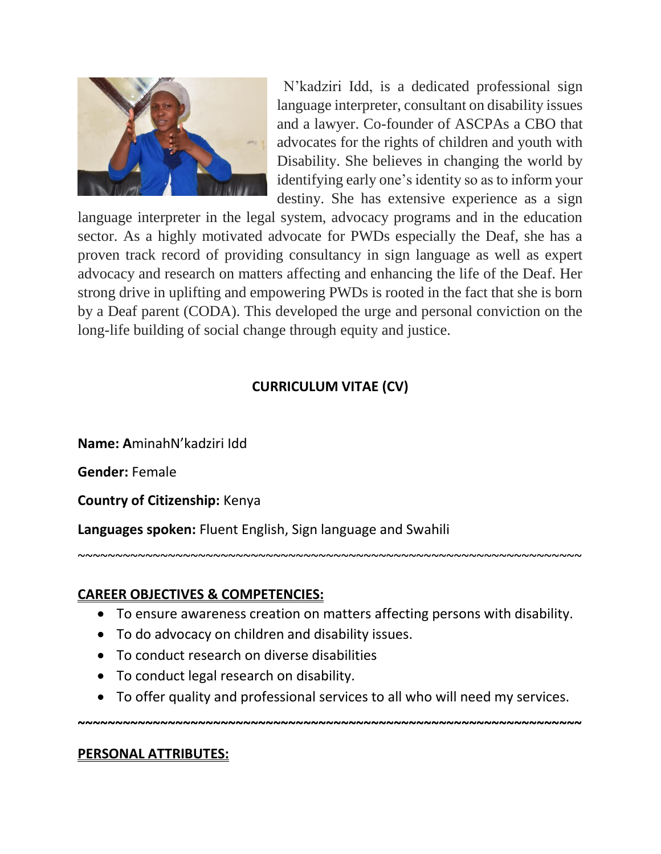

N'kadziri Idd, is a dedicated professional sign language interpreter, consultant on disability issues and a lawyer. Co-founder of ASCPAs a CBO that advocates for the rights of children and youth with Disability. She believes in changing the world by identifying early one's identity so as to inform your destiny. She has extensive experience as a sign

language interpreter in the legal system, advocacy programs and in the education sector. As a highly motivated advocate for PWDs especially the Deaf, she has a proven track record of providing consultancy in sign language as well as expert advocacy and research on matters affecting and enhancing the life of the Deaf. Her strong drive in uplifting and empowering PWDs is rooted in the fact that she is born by a Deaf parent (CODA). This developed the urge and personal conviction on the long-life building of social change through equity and justice.

# **CURRICULUM VITAE (CV)**

**Name: A**minahN'kadziri Idd

**Gender:** Female

**Country of Citizenship:** Kenya

**Languages spoken:** Fluent English, Sign language and Swahili

## **CAREER OBJECTIVES & COMPETENCIES:**

To ensure awareness creation on matters affecting persons with disability.

~~~~~~~~~~~~~~~~~~~~~~~~~~~~~~~~~~~~~~~~~~~~~~~~~~~~~~~~~~~~~~~~~~~

- To do advocacy on children and disability issues.
- To conduct research on diverse disabilities
- To conduct legal research on disability.
- To offer quality and professional services to all who will need my services.

**~~~~~~~~~~~~~~~~~~~~~~~~~~~~~~~~~~~~~~~~~~~~~~~~~~~~~~~~~~~~~~~~~~~**

### **PERSONAL ATTRIBUTES:**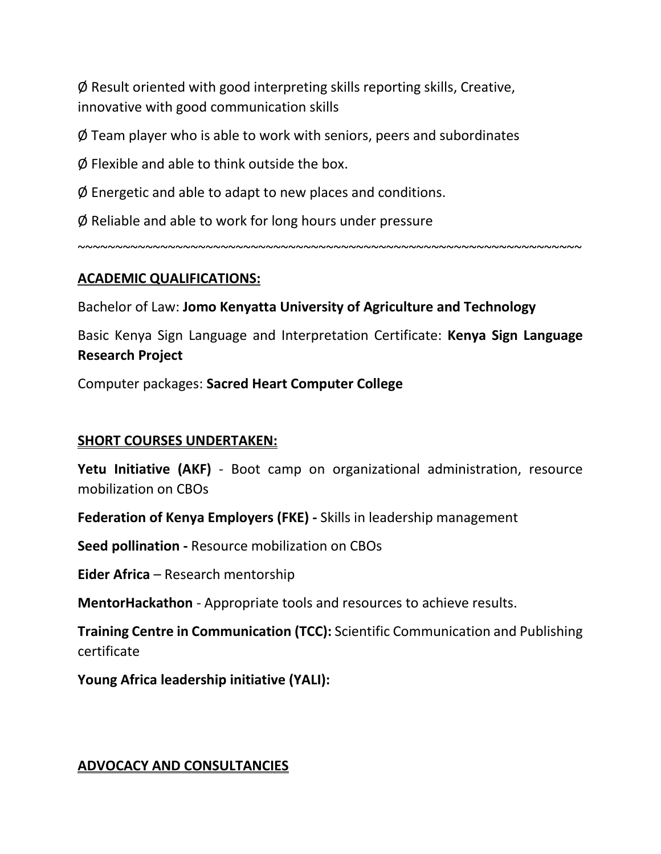Ø Result oriented with good interpreting skills reporting skills, Creative, innovative with good communication skills

Ø Team player who is able to work with seniors, peers and subordinates

Ø Flexible and able to think outside the box.

 $\emptyset$  Energetic and able to adapt to new places and conditions.

Ø Reliable and able to work for long hours under pressure

### **ACADEMIC QUALIFICATIONS:**

Bachelor of Law: **Jomo Kenyatta University of Agriculture and Technology** 

Basic Kenya Sign Language and Interpretation Certificate: **Kenya Sign Language Research Project**

~~~~~~~~~~~~~~~~~~~~~~~~~~~~~~~~~~~~~~~~~~~~~~~~~~~~~~~~~~~~~~~~~~~

Computer packages: **Sacred Heart Computer College**

### **SHORT COURSES UNDERTAKEN:**

**Yetu Initiative (AKF)** - Boot camp on organizational administration, resource mobilization on CBOs

**Federation of Kenya Employers (FKE) -** Skills in leadership management

**Seed pollination -** Resource mobilization on CBOs

**Eider Africa** – Research mentorship

**MentorHackathon** - Appropriate tools and resources to achieve results.

**Training Centre in Communication (TCC):** Scientific Communication and Publishing certificate

**Young Africa leadership initiative (YALI):** 

#### **ADVOCACY AND CONSULTANCIES**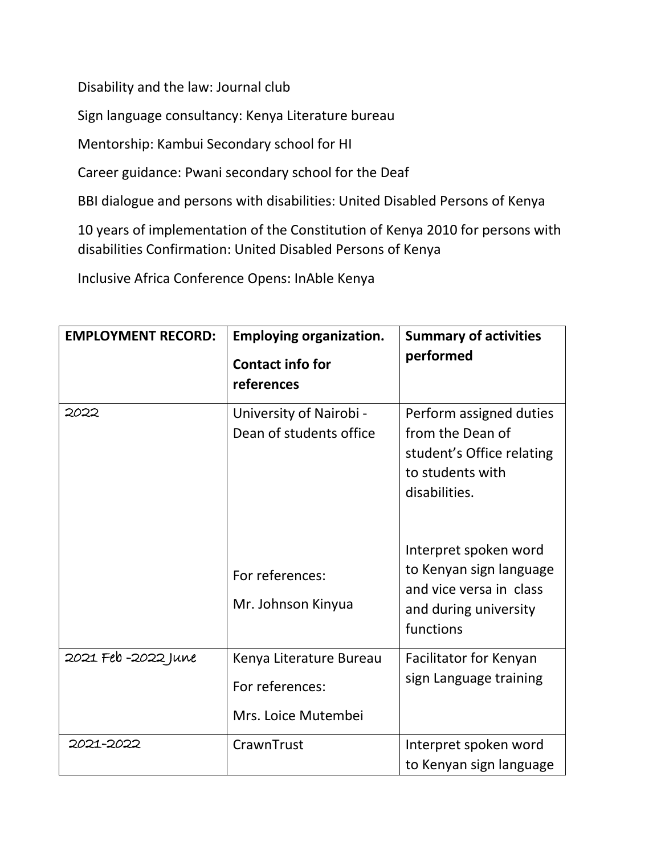Disability and the law: Journal club

Sign language consultancy: Kenya Literature bureau

Mentorship: Kambui Secondary school for HI

Career guidance: Pwani secondary school for the Deaf

BBI dialogue and persons with disabilities: United Disabled Persons of Kenya

10 years of implementation of the Constitution of Kenya 2010 for persons with disabilities Confirmation: United Disabled Persons of Kenya

Inclusive Africa Conference Opens: InAble Kenya

| <b>EMPLOYMENT RECORD:</b> | <b>Employing organization.</b><br><b>Contact info for</b><br>references | <b>Summary of activities</b><br>performed                                                                         |
|---------------------------|-------------------------------------------------------------------------|-------------------------------------------------------------------------------------------------------------------|
| 2022                      | University of Nairobi -<br>Dean of students office                      | Perform assigned duties<br>from the Dean of<br>student's Office relating<br>to students with<br>disabilities.     |
|                           | For references:<br>Mr. Johnson Kinyua                                   | Interpret spoken word<br>to Kenyan sign language<br>and vice versa in class<br>and during university<br>functions |
| 2021 Feb -2022 June       | Kenya Literature Bureau<br>For references:<br>Mrs. Loice Mutembei       | Facilitator for Kenyan<br>sign Language training                                                                  |
| 2021-2022                 | CrawnTrust                                                              | Interpret spoken word<br>to Kenyan sign language                                                                  |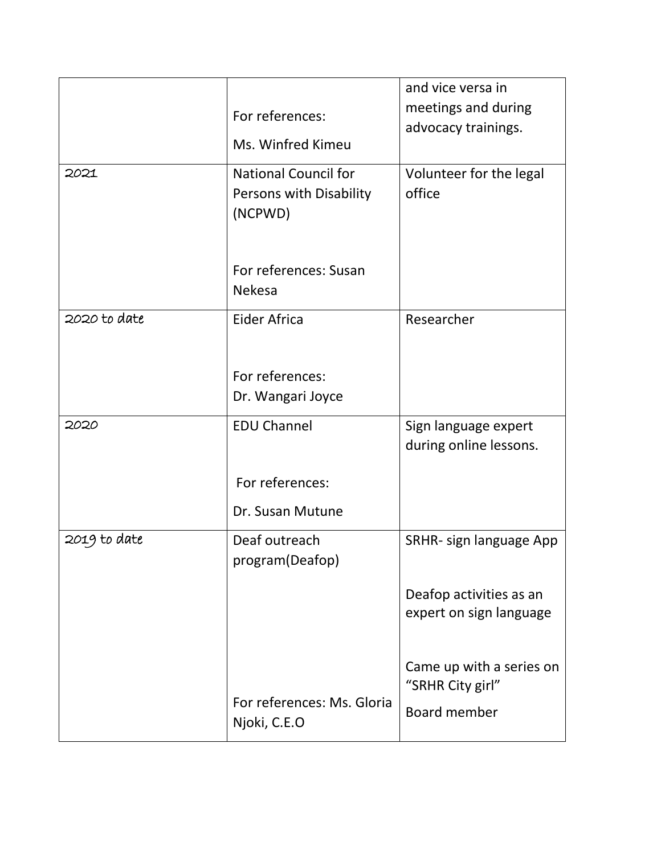|              |                                                                   | and vice versa in                                  |
|--------------|-------------------------------------------------------------------|----------------------------------------------------|
|              | For references:                                                   | meetings and during                                |
|              | Ms. Winfred Kimeu                                                 | advocacy trainings.                                |
|              |                                                                   |                                                    |
| 2021         | <b>National Council for</b><br>Persons with Disability<br>(NCPWD) | Volunteer for the legal<br>office                  |
|              | For references: Susan<br><b>Nekesa</b>                            |                                                    |
| 2020 to date | Eider Africa                                                      | Researcher                                         |
|              |                                                                   |                                                    |
|              | For references:                                                   |                                                    |
|              | Dr. Wangari Joyce                                                 |                                                    |
| 2020         | <b>EDU Channel</b>                                                | Sign language expert<br>during online lessons.     |
|              | For references:                                                   |                                                    |
|              | Dr. Susan Mutune                                                  |                                                    |
| 2019 to date | Deaf outreach<br>program(Deafop)                                  | SRHR- sign language App                            |
|              |                                                                   | Deafop activities as an<br>expert on sign language |
|              |                                                                   | Came up with a series on<br>"SRHR City girl"       |
|              | For references: Ms. Gloria<br>Njoki, C.E.O                        | Board member                                       |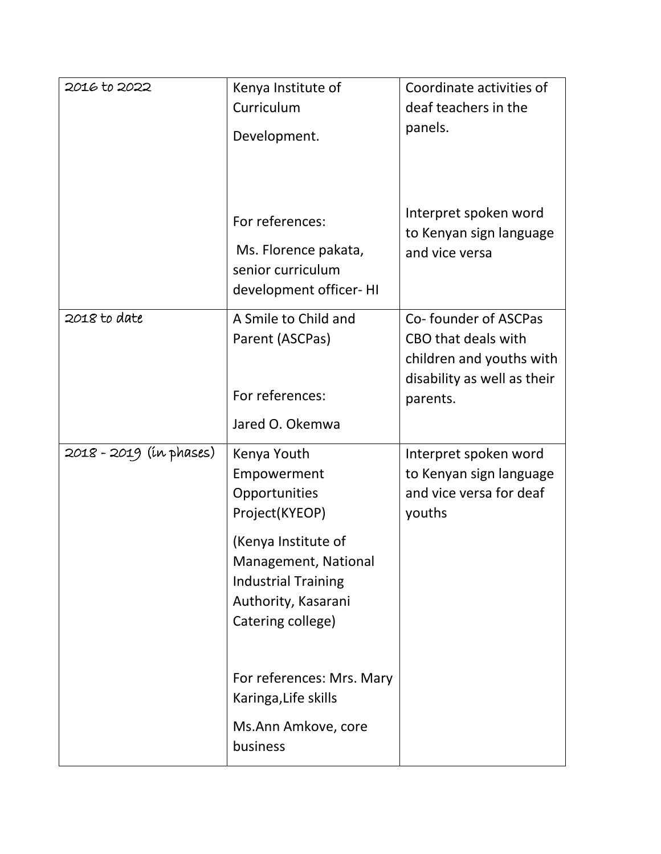| 2016 to 2022            | Kenya Institute of                                                                                                                                                                     | Coordinate activities of                                                              |
|-------------------------|----------------------------------------------------------------------------------------------------------------------------------------------------------------------------------------|---------------------------------------------------------------------------------------|
|                         | Curriculum                                                                                                                                                                             | deaf teachers in the                                                                  |
|                         | Development.                                                                                                                                                                           | panels.                                                                               |
|                         | For references:<br>Ms. Florence pakata,<br>senior curriculum<br>development officer-HI                                                                                                 | Interpret spoken word<br>to Kenyan sign language<br>and vice versa                    |
| 2018 to date            | A Smile to Child and<br>Parent (ASCPas)                                                                                                                                                | Co-founder of ASCPas<br>CBO that deals with<br>children and youths with               |
|                         | For references:                                                                                                                                                                        | disability as well as their<br>parents.                                               |
|                         | Jared O. Okemwa                                                                                                                                                                        |                                                                                       |
| 2018 - 2019 (ín phases) | Kenya Youth<br>Empowerment<br>Opportunities<br>Project(KYEOP)<br>(Kenya Institute of<br>Management, National<br><b>Industrial Training</b><br>Authority, Kasarani<br>Catering college) | Interpret spoken word<br>to Kenyan sign language<br>and vice versa for deaf<br>youths |
|                         | For references: Mrs. Mary<br>Karinga, Life skills                                                                                                                                      |                                                                                       |
|                         | Ms.Ann Amkove, core<br>business                                                                                                                                                        |                                                                                       |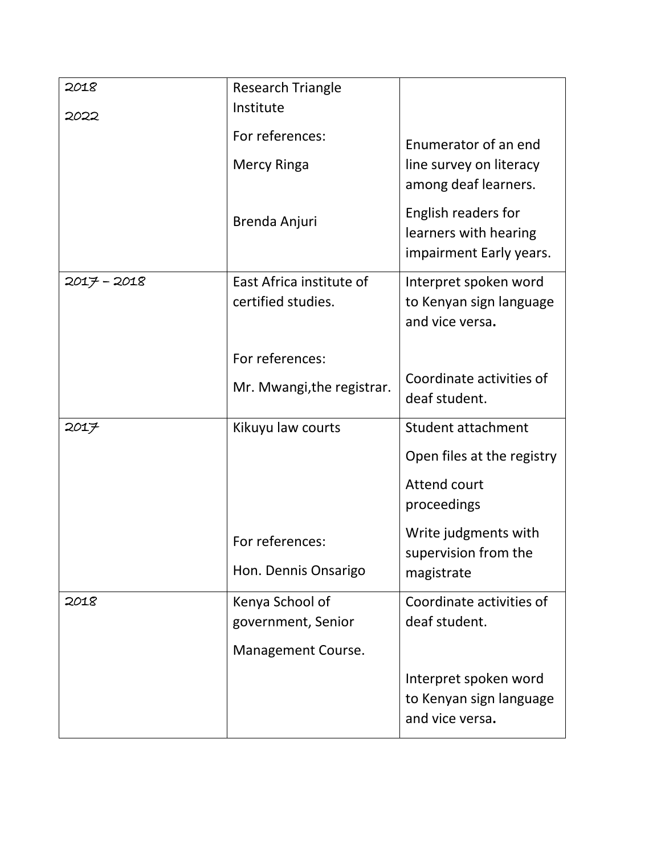| 2018        | <b>Research Triangle</b>              |                                                                         |
|-------------|---------------------------------------|-------------------------------------------------------------------------|
| 2022        | Institute                             |                                                                         |
|             | For references:                       | Enumerator of an end                                                    |
|             | Mercy Ringa                           | line survey on literacy<br>among deaf learners.                         |
|             | Brenda Anjuri                         | English readers for<br>learners with hearing<br>impairment Early years. |
| 2017 - 2018 | East Africa institute of              | Interpret spoken word                                                   |
|             | certified studies.                    | to Kenyan sign language<br>and vice versa.                              |
|             | For references:                       |                                                                         |
|             | Mr. Mwangi, the registrar.            | Coordinate activities of<br>deaf student.                               |
| 2017        | Kikuyu law courts                     | <b>Student attachment</b>                                               |
|             |                                       | Open files at the registry                                              |
|             |                                       | Attend court<br>proceedings                                             |
|             | For references:                       | Write judgments with<br>supervision from the                            |
|             | Hon. Dennis Onsarigo                  | magistrate                                                              |
| 2018        | Kenya School of<br>government, Senior | Coordinate activities of<br>deaf student.                               |
|             | Management Course.                    |                                                                         |
|             |                                       | Interpret spoken word<br>to Kenyan sign language<br>and vice versa.     |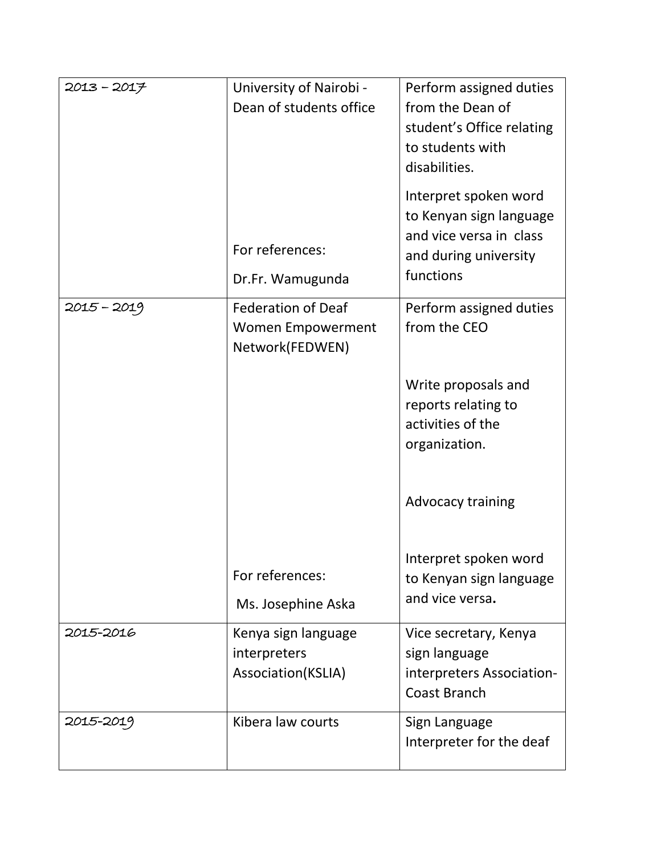| 2013-2017   | University of Nairobi -<br>Dean of students office<br>For references:<br>Dr.Fr. Wamugunda   | Perform assigned duties<br>from the Dean of<br>student's Office relating<br>to students with<br>disabilities.<br>Interpret spoken word<br>to Kenyan sign language<br>and vice versa in class<br>and during university<br>functions |
|-------------|---------------------------------------------------------------------------------------------|------------------------------------------------------------------------------------------------------------------------------------------------------------------------------------------------------------------------------------|
| 2015 - 2019 | <b>Federation of Deaf</b><br><b>Women Empowerment</b><br>Network(FEDWEN)<br>For references: | Perform assigned duties<br>from the CEO<br>Write proposals and<br>reports relating to<br>activities of the<br>organization.<br><b>Advocacy training</b><br>Interpret spoken word<br>to Kenyan sign language                        |
| 2015-2016   | Ms. Josephine Aska<br>Kenya sign language<br>interpreters<br>Association(KSLIA)             | and vice versa.<br>Vice secretary, Kenya<br>sign language<br>interpreters Association-<br><b>Coast Branch</b>                                                                                                                      |
| 2015-2019   | Kibera law courts                                                                           | Sign Language<br>Interpreter for the deaf                                                                                                                                                                                          |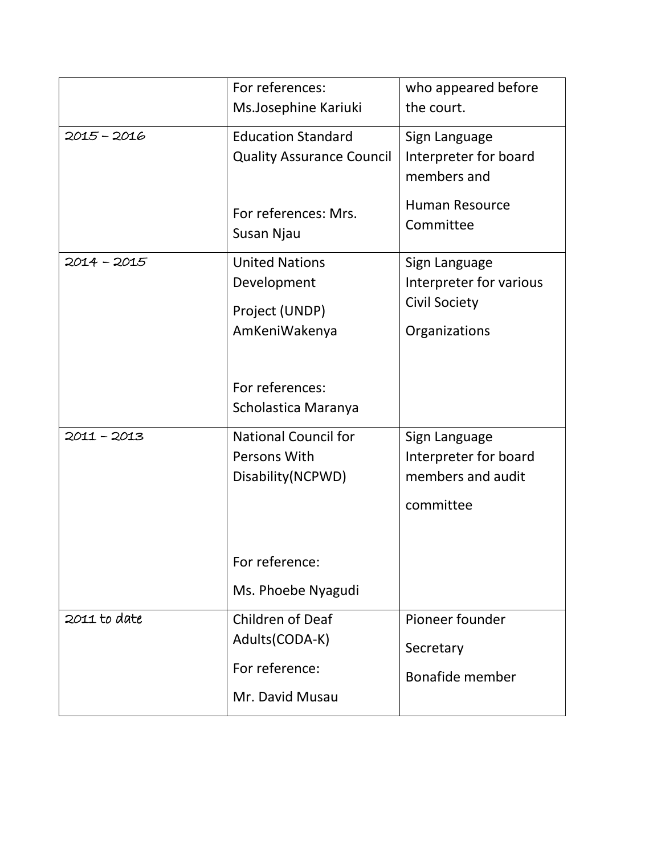|               | For references:<br>Ms.Josephine Kariuki                                                             | who appeared before<br>the court.                                                           |
|---------------|-----------------------------------------------------------------------------------------------------|---------------------------------------------------------------------------------------------|
| 2015 - 2016   | <b>Education Standard</b><br><b>Quality Assurance Council</b><br>For references: Mrs.<br>Susan Njau | Sign Language<br>Interpreter for board<br>members and<br><b>Human Resource</b><br>Committee |
| $2014 - 2015$ | <b>United Nations</b><br>Development<br>Project (UNDP)<br>AmKeniWakenya                             | Sign Language<br>Interpreter for various<br><b>Civil Society</b><br>Organizations           |
|               | For references:<br>Scholastica Maranya                                                              |                                                                                             |
| 2011 - 2013   | <b>National Council for</b><br>Persons With<br>Disability (NCPWD)<br>For reference:                 | Sign Language<br>Interpreter for board<br>members and audit<br>committee                    |
| 2011 to date  | Ms. Phoebe Nyagudi<br>Children of Deaf                                                              | Pioneer founder                                                                             |
|               | Adults(CODA-K)<br>For reference:<br>Mr. David Musau                                                 | Secretary<br>Bonafide member                                                                |